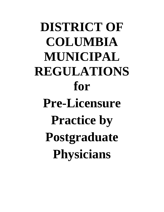**DISTRICT OF COLUMBIA MUNICIPAL REGULATIONS for Pre-Licensure Practice by Postgraduate Physicians**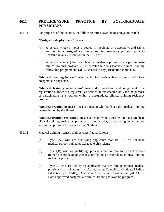## **4611 PRE-LICENSURE PRACTICE BY POSTGRADUATE PHYSICIANS**

4611.1 For purposes of this section, the following terms have the meanings indicated:

## **"Postgraduate physician"** means:

- (a) A person who: (1) holds a degree in medicine or osteopathy; and (2) is enrolled in a postgraduate clinical training residency program prior to licensure in any jurisdiction in the U.S.; or
- (b) A person who: (1) has completed a residency program in a postgraduate clinical training program; (2) is enrolled in a postgraduate clinical training fellowship program; and (3) is licensed in any jurisdiction in the U.S..

**"Medical training license"** means a limited medical license issued only to a postgraduate physician.

**"Medical training registration"** means documentation and assignment of a registration number to a registrant, as defined in this chapter, only for the purpose of participating in a rotation within a postgraduate clinical training residency program.

**"Medical training licensee"** means a person who holds a valid medical training license issued by the Board.

**"Medical training registrant"** means a person who is enrolled in a postgraduate clinical training residency program in the District, participating in a rotation within that program for no more than 90 days.

- 4611.2 Medical training licenses shall be classified as follows:
	- (a) Type I(A), who are qualifying applicants that are U.S. or Canadian medical school-trained postgraduate physicians;
	- (b) Type I(B), who are qualifying applicants that are foreign medical schooltrained postgraduate physicians enrolled in a postgraduate clinical training residency program; or
	- (c) Type II, who are qualifying applicants that are foreign trained medical physicians participating in an Accreditation Council for Graduate Medical Education (ACGME), American Osteopathic Association (AOA), or Board approved postgraduate clinical training fellowship program.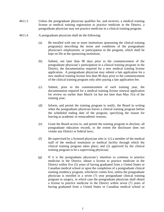- 4611.3 Unless the postgraduate physician qualifies for, and receives, a medical training license or medical training registration to practice medicine in the District, a postgraduate physician may not practice medicine in a clinical training program.
- 4611.4 A postgraduate physician shall do the following:
	- (a) Be enrolled with one or more institutions sponsoring the clinical training program(s) describing the terms and conditions of the postgraduate physician's employment, or participation in the program, which shall be kept on file at the sponsoring institution;
	- (b) Submit, not later than 90 days prior to the commencement of the postgraduate physician's participation in a clinical training program in the District, the documentation required for a new medical training license application. A postgraduate physician may submit a late application for a new medical training license less than 90 days prior to the commencement of the clinical training program only after paying a late application fee;
	- (c) Submit, prior to the commencement of each training year, the documentation required for a medical training license renewal application for review no earlier than March 1st but not later than May 31st of the training year;
	- (d) Inform, and permit the training program to notify, the Board in writing when the postgraduate physician leaves a clinical training program before the scheduled ending date of the program, specifying the reason for leaving as academic or nonacademic reasons;
	- (e) Grant the Board access to, and permit the training program to disclose, all postgraduate education records, to the extent the disclosure does not violate any District or federal laws;
	- (f) Be supervised by a licensed physician who is:  $(1)$  a member of the medical staff of the medical institution or medical facility through which the clinical training program takes place; and (2) approved by the clinical training program to be a supervising physician;
	- (g) If it is the postgraduate physician's intention to continue to practice medicine in the District, obtain a license to practice medicine in the District within five (5) years of having graduated from a United States or Canadian medical school or upon the completion of a postgraduate clinical training residency program, whichever comes first, unless the postgraduate physician is enrolled in a seven (7) year postgraduate clinical training program in surgery, in which case the postgraduate physician shall obtain a license to practice medicine in the District within seven (7) years of having graduated from a United States or Canadian medical school or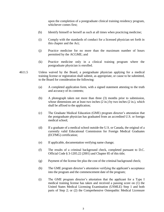upon the completion of a postgraduate clinical training residency program, whichever comes first;

- (h) Identify himself or herself as such at all times when practicing medicine;
- (i) Comply with the standards of conduct for a licensed physician set forth in this chapter and the Act;
- (j) Practice medicine for no more than the maximum number of hours permitted by the ACGME; and
- (k) Practice medicine only in a clinical training program where the postgraduate physician is enrolled.
- 4611.5 Unless waived by the Board, a postgraduate physician applying for a medical training license or registration shall submit, as appropriate, or cause to be submitted, to the Board for consideration the following:
	- (a) A completed application form, with a signed statement attesting to the truth and accuracy of its contents;
	- (b) A photograph taken not more than three (3) months prior to submission, whose dimensions are at least two inches  $(2 \text{ in.})$  by two inches  $(2 \text{ in.})$ , which shall be affixed to the application;
	- (c) The Graduate Medical Education (GME) program director's attestation that the postgraduate physician has graduated from an accredited U.S. or foreign medical school;
	- (d) If a graduate of a medical school outside the U.S. or Canada, the original of a currently valid Educational Commission for Foreign Medical Graduates (ECFMG) certification;
	- (e) If applicable, documentation verifying name change;
	- (f) The results of a criminal background check, completed pursuant to D.C. Official Code § 3-1205.22 (2001) and Chapter 85 of this title;
	- (g) Payment of the license fee plus the cost of the criminal background check;
	- (h) The GME program director's attestation verifying the applicant's acceptance into the program and the commencement date of the program;
	- (i) The GME program director's attestation that the applicant for a Type I medical training license has taken and received a passing score on (1) the United States Medical Licensing Examination (USMLE) Step 1 and both parts of Step 2; or (2) the Comprehensive Osteopathic Medical Licensure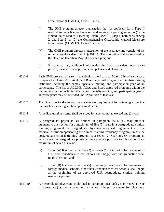Examination (COMLEX) Levels 1 and 2;

- (j) The GME program director's attestation that the applicant for a Type II medical training license has taken and received a passing score on (1) the United States Medical Licensing Exam (USMLE) Step 1, both parts of Step 2, and Step 3; or (2) the Comprehensive Osteopathic Medical Licensure Examination (COMLEX) Levels 1 and 2;
- (k) The GME program director's attestation of the accuracy and veracity of his or her attestations described in § 4611.5. The attestation shall be received by the Board no later than May 31st of each year; and
- (l) If requested, any additional information the Board considers necessary to properly evaluate the applicant's competence and character.
- 4611.6 Each GME program director shall submit to the Board by March 31st of each year a complete list of ACGME, AOA, and Board approved programs within their training institution including the names, specialty training, and participation year of all participants. The list of ACGME, AOA, and Board approved programs within the training institution, including the names, specialty training, and participation year of all participants may be amended until April 30th of that year.
- 4611.7 The Board, in its discretion, may waive any requirement for obtaining a medical training license or registration upon good cause.
- 4611.8 A medical training license shall be issued for a period not to exceed one (1) year.
- 4611.9 A postgraduate physician, as defined in paragraph 4611.1(a), may practice pursuant to this section for a maximum of five (5) years in a postgraduate clinical training program if the postgraduate physician has a valid agreement with the medical institution sponsoring the clinical training residency program, unless the postgraduate clinical training program is a seven (7) year surgery program, in which case the postgraduate physician may practice pursuant to this section for a maximum of seven (7) years:
	- (a) Type  $I(A)$  licensees the five (5) or seven (7) year period for graduates of U.S. and Canadian medical schools shall begin with the graduation from medical school; and
	- (b) Type I(B) licensees the five (5) or seven (7) year period for graduates of foreign medical schools, other than Canadian medical schools, shall begin at the beginning of an approved U.S. postgraduate clinical training residency program.
- 4611.10 A postgraduate physician, as defined in paragraph 4611.1(b), may renew a Type II license one (1) time pursuant to this section if the postgraduate physician has a